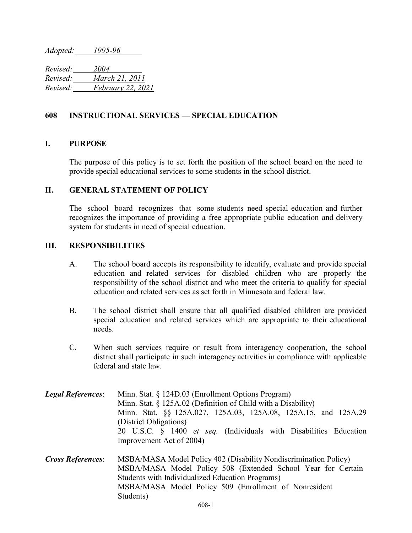*Adopted: 1995-96* 

*Revised: 2004 Revised: March 21, 2011 Revised: February 22, 2021*

## **608 INSTRUCTIONAL SERVICES — SPECIAL EDUCATION**

## **I. PURPOSE**

The purpose of this policy is to set forth the position of the school board on the need to provide special educational services to some students in the school district.

## **II. GENERAL STATEMENT OF POLICY**

The school board recognizes that some students need special education and further recognizes the importance of providing a free appropriate public education and delivery system for students in need of special education.

## **III. RESPONSIBILITIES**

- A. The school board accepts its responsibility to identify, evaluate and provide special education and related services for disabled children who are properly the responsibility of the school district and who meet the criteria to qualify for special education and related services as set forth in Minnesota and federal law.
- B. The school district shall ensure that all qualified disabled children are provided special education and related services which are appropriate to their educational needs.
- C. When such services require or result from interagency cooperation, the school district shall participate in such interagency activities in compliance with applicable federal and state law.
- *Legal References*: Minn. Stat. § 124D.03 (Enrollment Options Program) Minn. Stat. § 125A.02 (Definition of Child with a Disability) Minn. Stat. §§ 125A.027, 125A.03, 125A.08, 125A.15, and 125A.29 (District Obligations) 20 U.S.C. § 1400 *et seq.* (Individuals with Disabilities Education Improvement Act of 2004)
- *Cross References*: MSBA/MASA Model Policy 402 (Disability Nondiscrimination Policy) MSBA/MASA Model Policy 508 (Extended School Year for Certain Students with Individualized Education Programs) MSBA/MASA Model Policy 509 (Enrollment of Nonresident Students)